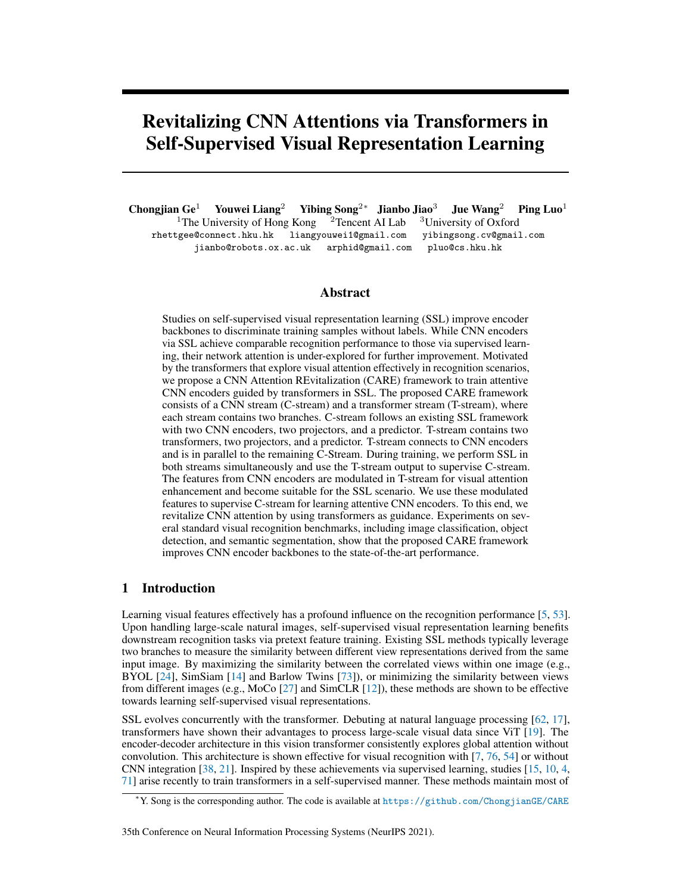# Revitalizing CNN Attentions via Transformers in Self-Supervised Visual Representation Learning

Chongjian Ge<sup>1</sup> Youwei Liang<sup>2</sup> Yibing Song<sup>2∗</sup> Jianbo Jiao<sup>3</sup> Jue Wang<sup>2</sup> Ping Luo<sup>1</sup><sup>1</sup>The University of Hong Kong<sup>2</sup> Tencent AI Lab<sup>3</sup>University of Oxford <sup>1</sup>The University of Hong Kong <sup>2</sup>Tencent AI Lab <sup>3</sup>University of Oxford rhettgee@connect.hku.hk liangyouwei1@gmail.com yibingsong.cv@gmail.com jianbo@robots.ox.ac.uk arphid@gmail.com pluo@cs.hku.hk

## Abstract

Studies on self-supervised visual representation learning (SSL) improve encoder backbones to discriminate training samples without labels. While CNN encoders via SSL achieve comparable recognition performance to those via supervised learning, their network attention is under-explored for further improvement. Motivated by the transformers that explore visual attention effectively in recognition scenarios, we propose a CNN Attention REvitalization (CARE) framework to train attentive CNN encoders guided by transformers in SSL. The proposed CARE framework consists of a CNN stream (C-stream) and a transformer stream (T-stream), where each stream contains two branches. C-stream follows an existing SSL framework with two CNN encoders, two projectors, and a predictor. T-stream contains two transformers, two projectors, and a predictor. T-stream connects to CNN encoders and is in parallel to the remaining C-Stream. During training, we perform SSL in both streams simultaneously and use the T-stream output to supervise C-stream. The features from CNN encoders are modulated in T-stream for visual attention enhancement and become suitable for the SSL scenario. We use these modulated features to supervise C-stream for learning attentive CNN encoders. To this end, we revitalize CNN attention by using transformers as guidance. Experiments on several standard visual recognition benchmarks, including image classification, object detection, and semantic segmentation, show that the proposed CARE framework improves CNN encoder backbones to the state-of-the-art performance.

## 1 Introduction

Learning visual features effectively has a profound influence on the recognition performance [\[5,](#page-10-0) [53\]](#page-12-0). Upon handling large-scale natural images, self-supervised visual representation learning benefits downstream recognition tasks via pretext feature training. Existing SSL methods typically leverage two branches to measure the similarity between different view representations derived from the same input image. By maximizing the similarity between the correlated views within one image (e.g., BYOL [\[24\]](#page-11-0), SimSiam [\[14\]](#page-10-1) and Barlow Twins [\[73\]](#page-13-0)), or minimizing the similarity between views from different images (e.g., MoCo [\[27\]](#page-11-1) and SimCLR [\[12\]](#page-10-2)), these methods are shown to be effective towards learning self-supervised visual representations.

SSL evolves concurrently with the transformer. Debuting at natural language processing [\[62,](#page-13-1) [17\]](#page-10-3), transformers have shown their advantages to process large-scale visual data since ViT [\[19\]](#page-10-4). The encoder-decoder architecture in this vision transformer consistently explores global attention without convolution. This architecture is shown effective for visual recognition with  $[7, 76, 54]$  $[7, 76, 54]$  $[7, 76, 54]$  $[7, 76, 54]$  $[7, 76, 54]$  or without CNN integration [\[38,](#page-11-2) [21\]](#page-11-3). Inspired by these achievements via supervised learning, studies [\[15,](#page-10-6) [10,](#page-10-7) [4,](#page-10-8) [71\]](#page-13-3) arise recently to train transformers in a self-supervised manner. These methods maintain most of

<sup>∗</sup>Y. Song is the corresponding author. The code is available at <https://github.com/ChongjianGE/CARE>

<sup>35</sup>th Conference on Neural Information Processing Systems (NeurIPS 2021).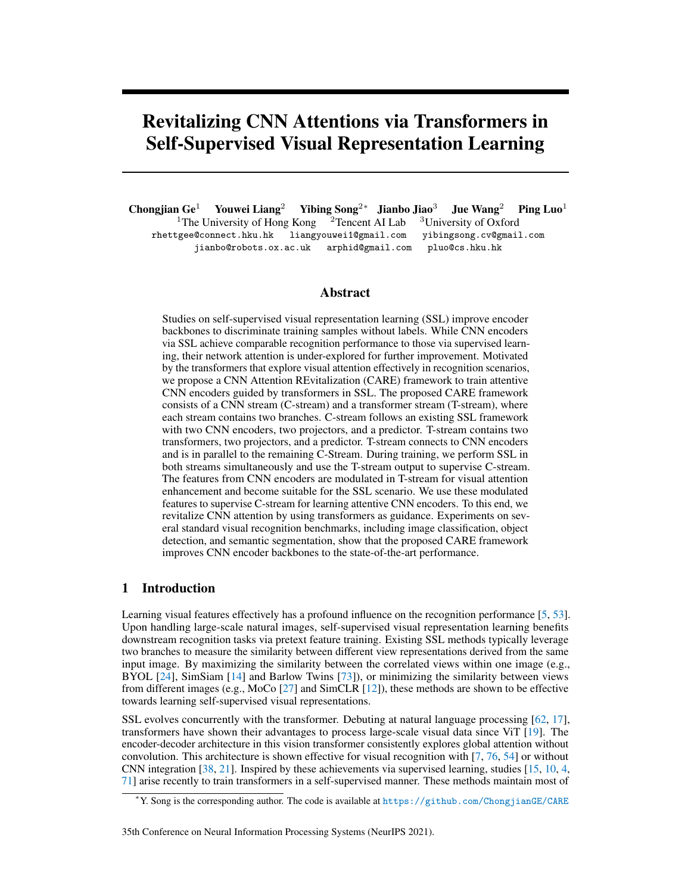<span id="page-1-0"></span>

Figure 1: SSL framework overview. The solid lines indicate network pipeline, and the dash lines indicate network updates. MoCo V3 [\[15\]](#page-10-6) explores visual attention by explicitly taking a vision transformer as encoder, while SimCLR [\[12\]](#page-10-2) and BYOL [\[24\]](#page-11-0) do not learn an attentive CNN encoder. Our CARE framework consists of a C-stream and a T-stream to explore visual attention in CNN encoders with transformer supervision. Note that only target CNN encoder  $(i.e., CNN<sub>1</sub>)$  is preserved after pre-training for downstream evaluation. We do not show projectors in (b) and (d) for simplicity.

the SSL pipeline (i.e., encoder, projector, and predictor) utilized for training CNN encoders. Without significant framework alteration, original SSL methods for CNN encoders can be adapted to train transformer encoders and achieve favorable performance.

The success of using transformer encoders indicates that visual attention benefits encoder backbones in SSL. On the other hand, in supervised learning, CNN attention is usually developed via network supervision [\[47\]](#page-12-2). However, we observe that existing SSL methods do not incorporate visual attention within CNN encoders. This motivates us to explore CNN attention in SSL. We expect CNN encoders to maintain similar visual attention to transformers for recognition performance improvement with lower computational complexity and less memory consumption.

In this paper, we propose a CNN Attention REvitalization framework (CARE) to make CNN encoder attentive via transformer guidance. Fig. [1](#page-1-0) (d) shows an intuitive illustration of CARE and compares it with other state-of-the-art SSL frameworks. There are two streams (i.e., C-stream and T-stream) in CARE where each stream contains two branches. C-stream is similar to existing SSL frameworks with two CNN encoders, two projectors, and one predictor. T-stream consists of two transformers, two projectors, and one predictor. T-stream takes CNN encoder features as input and improves feature attention via transformers. During the training process, we perform SSL in both streams simultaneously and use the T-stream output to supervise C-stream. The self-supervised learning in T-stream ensures attentive features produced by transformers are suitable for this SSL scenario. Meanwhile, we use the attention supervision on C-stream. This supervision enables both C-stream and T-stream to produce similar features. The feature representation of CNN encoders is improved by visual attention from transformers. As a result, the pre-trained CNN encoder produces attentive features, which benefits downstream recognition scenarios. Experiments on standard image classification, object detection, and semantic segmentation benchmarks show that the proposed CARE framework improves prevalent CNN encoder backbones to the state-of-the-art performance.

## 2 Related works

In the proposed CARE framework, we introduce transformers into self-supervised visual representation learning. In this section, we perform a literature survey on related works from the perspectives of visual representation learning as well as vision transformers.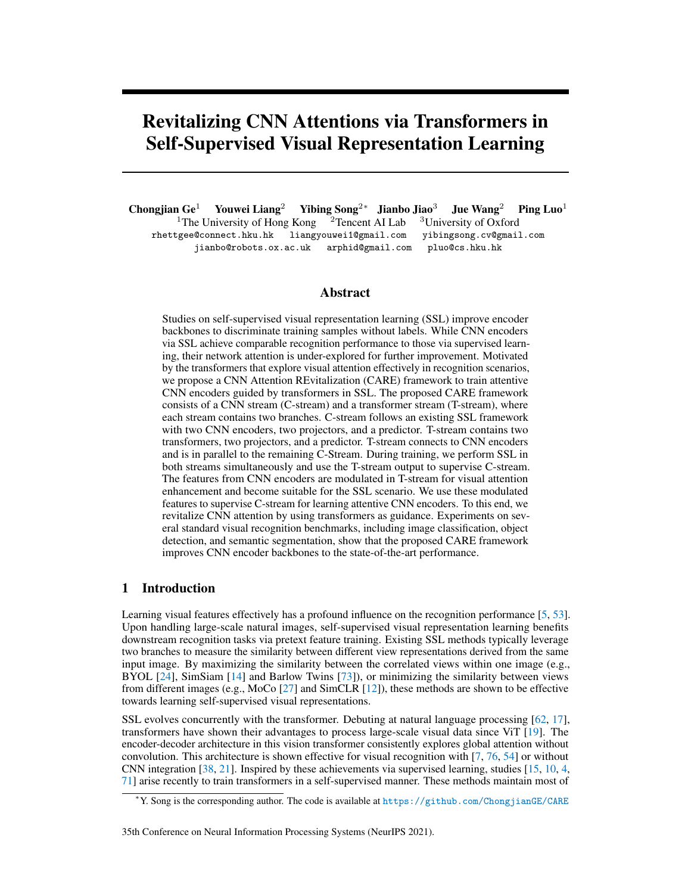#### 2.1 Visual representation learning

There is an increasing need to learn good feature representations with unlabeled images. The general feature representation benefits downstream visual recognition scenarios. Existing visual representation learning methods can be mainly categorized as generative and discriminative methods. The generative methods typically use an auto-encoder for image reconstruction [\[63,](#page-13-4) [49\]](#page-12-3), or model data and representation in a joint embedding space [\[18,](#page-10-9) [6\]](#page-10-10). The generative methods focus on image pixel-level details and are computationally intensive. Besides, further adaption is still required for downstream visual recognition scenarios.

The discriminative methods formulate visual representation learning as sample comparisons. Recently, contrastive learning is heavily investigated since its efficiency and superior performance. By creating different views from images, SSL obtains positive and negative sample pairs to constitute the learning process. Examples include memory bank [\[70\]](#page-13-5), multi-view coding [\[58,](#page-12-4) [61\]](#page-13-6), predictive coding [\[30,](#page-11-4) [60\]](#page-12-5), pretext invariance [\[42\]](#page-12-6), knowledge distillation [\[22,](#page-11-5) [10\]](#page-10-7) and information maximization [\[32\]](#page-11-6). While negative pairs are introduced in MoCo [\[27\]](#page-11-1) and SimCLR [\[12\]](#page-10-2), studies (e.g., BYOL [\[24\]](#page-11-0) and SimSiam  $[14]$ ) show that using only positive pairs are effective. Also, clustering methods  $[8, 9]$  $[8, 9]$  $[8, 9]$ construct clusters for representation learning. The negative pairs are not introduced in these methods. Besides these discriminative methods focusing on image data, there are similar methods learning representations from either video data  $[66, 26, 33, 67, 45, 65, 64]$  $[66, 26, 33, 67, 45, 65, 64]$  $[66, 26, 33, 67, 45, 65, 64]$  $[66, 26, 33, 67, 45, 65, 64]$  $[66, 26, 33, 67, 45, 65, 64]$  $[66, 26, 33, 67, 45, 65, 64]$  $[66, 26, 33, 67, 45, 65, 64]$  $[66, 26, 33, 67, 45, 65, 64]$  $[66, 26, 33, 67, 45, 65, 64]$  $[66, 26, 33, 67, 45, 65, 64]$  $[66, 26, 33, 67, 45, 65, 64]$  $[66, 26, 33, 67, 45, 65, 64]$  $[66, 26, 33, 67, 45, 65, 64]$  or multi-modality data  $[1, 2, 3]$  $[1, 2, 3]$  $[1, 2, 3]$  $[1, 2, 3]$  $[1, 2, 3]$ . Different from these SSL methods, we use the transformer architectures to improve CNN encoders attention.

## 2.2 Vision transformers

Transformer is proposed in [\[62\]](#page-13-1) where self-attention is shown effective for natural language processing. BERT [\[17\]](#page-10-3) further boosts its performance via self-supervised training. The sequential modeling of transformer has activated a wide range of researches in natural language processing [\[57\]](#page-12-8), speech processing [\[56\]](#page-12-9), and computer vision [\[25\]](#page-11-9). In this section, we only survey transformer-related works from the computer vision perspective.

There are heavy researches on transformers in both visual recognition and generation. ViT [\[19\]](#page-10-4) has shown that CNN is not a must in image classification. DETR [\[7\]](#page-10-5), Deformable DETR [\[78\]](#page-13-11) and RelationNet++ [\[16\]](#page-10-16) indicate that transformers are able to detect objects with high precisions. SETR [\[76\]](#page-13-2) brings transformers into semantic segmentation while VisTR [\[69\]](#page-13-12) has shown transformers are able to perform video object segmentation. TrackFormer [\[40\]](#page-12-10) introduces transformers into multiple object tracking. A general form of transformer is formulated in NLM [\[68\]](#page-13-13) for video classification. Furthermore, transformers have been show effective in image generation [\[46\]](#page-12-11) and image processing [\[11\]](#page-10-17) scenarios. Examples include image super-resolution [\[72\]](#page-13-14), video inpainting [\[74\]](#page-13-15), and video captioning [\[77\]](#page-13-16). There are several emerging studies [\[15,](#page-10-6) [10,](#page-10-7) [4,](#page-10-8) [71\]](#page-13-3) on how to use selfsupervised learning to improve a transformer backbone. The learning paradigm for CNN encoders is adapted to the transformer without significant alteration. Different from existing methods that focus on learning a transformer encoder backbone with supervised or self-supervised learning. We explore how to use the transformers as guidance to enhance CNN visual attention. The pretrained CNN encoder benefits downstream recognition scenarios.

## 3 Proposed method

Our CARE framework consists of C-stream and T-stream. Fig. [2](#page-3-0) shows an overview of the pipeline. We first illustrate the detailed structure of these streams. Then, we illustrate the network training process. The CNN encoder features are visualized as well for attention display.

## <span id="page-2-0"></span>3.1 CNN-stream (C-stream)

Our C-stream is similar to the existing SSL framework [\[24\]](#page-11-0) where there are two CNN encoders, two projectors, and one predictor. The structures of the two encoders are the same, and the structures of the two projectors are the same. Given a training image  $x$ , we process it with a set of random augmentations to create two *different* augmented views. We feed these two views to C-stream and obtain corresponding outputs  $f_1(x)$  and  $f_2(x)$ , respectively. Then, we compute a loss  $\mathcal{L}_c$  to penalize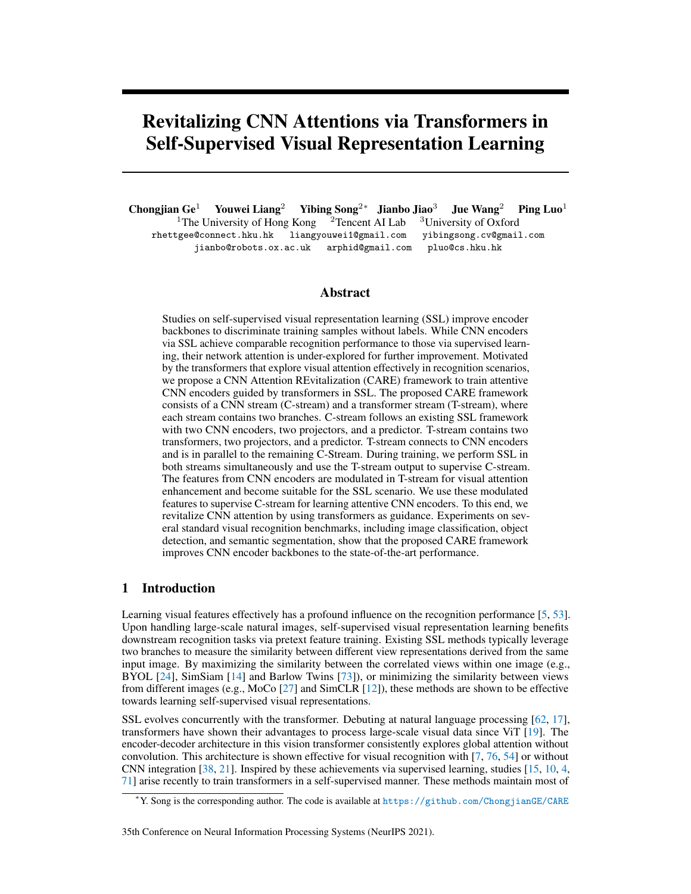<span id="page-3-0"></span>

Figure 2: The pipeline of CARE. It consists of C-stream and T-stream. C-stream is similar to the existing SSL framework, and we involve transformers in T-stream. During training, we perform SSL in each stream (i.e.,  $\mathcal{L}_c$  and  $\mathcal{L}_t$ ), and use T-stream outputs to supervise C-stream (i.e.,  $\mathcal{L}_{att}$ ). The CNN encoder becomes attentive via T-stream attention supervision.

<span id="page-3-1"></span>

Figure 3: Transformer framework. The architectures of the two transformers in T-stream are the same. Each transformer consists of  $n$  attention blocks. We show one attention block on the left, where the detailed structure of one self-attention layer is shown on the right.

the dissimilarity of the outputs. This loss term is the mean squared error of the normalized feature vectors and can be written as what follows:

$$
\mathcal{L}_c = 2 - 2 \cdot \frac{\langle f_1(x), f_2(x) \rangle}{\|f_1(x)\|_2 \cdot \|f_2(x)\|_2} \tag{1}
$$

where  $\|\cdot\|_2$  is the  $\ell_2$  normalization, and the  $\langle \cdot \rangle$  is the dot product operation. As the inputs of C-stream are from one image, the outputs of C-stream are supposed to become similar during the training process.

#### 3.2 Transformer-stream (T-stream)

The T-stream takes the output feature maps of the CNN encoders as its inputs, which are set in parallel to the C-stream. It consists of two transformers, two projectors, and one predictor. The structures of the projectors and the predictor are the same as those in the C-stream. The structures of two transformers share the same architecture, which consists of  $n$  consecutive attention blocks where each block contains two Multilayer Perception (MLP) layers with one multi-head self-attention (MHSA) layer in between. We mainly follow the design of [\[54\]](#page-12-1) to construct the attention block in transformer as shown in Fig. [3.](#page-3-1) The input feature map (denoted as  $s$ ) of an attention block is first processed by the a MLP layer for dimension mapping, and then passes the self-attention layer and finally the another MLP layer. MHSA consists of multiple attention heads that process the input features in parallel. In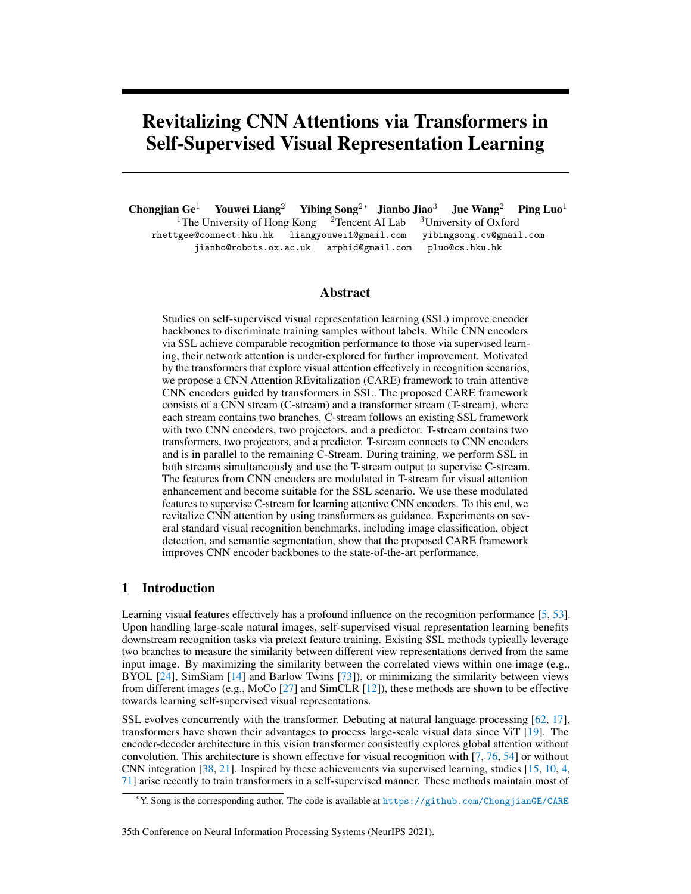one attention head, as illustrated on the right of Fig. [3,](#page-3-1) the input feature map is mapped to the query feature (q), the key feature (k), and the value feature (k) via 3 different MLP layers  $w_q, w_k$ , and  $w_v$ , respectively. As detailed in Eq. [\(2\)](#page-4-0), the query q and key k are multiplied to form the content-based attention, and q and the position encoding  $p$  are multiplied to form the position-based attention.

<span id="page-4-0"></span>
$$
Attention(q, k, v) = softmax(\frac{qp^{T} + qk^{T}}{\sqrt{d_k}})v
$$
\n(2)

where  $d_k$  is the dimension of the query and the key. There are learnable parameters in the positional encoding module  $[46]$  to output p that follows the shape of s. In Eq. [\(2\)](#page-4-0), we perform matrix multiplication between q and  $p^T$ , q and  $k^T$ , and the softmax output and v by treating each pixel as a token [\[62\]](#page-13-1) (i.e., for a feature map with c channels and spatial dimension of  $h \times w$ , it forms  $h \cdot w$  c-dimensional tokens and thus obtains a matrix of size  $h \cdot w \times c$ ). Besides, we perform matrix addition between  $qp^T$  and  $qk^T$ . The output of the second MLP layer is added to the original input feature map s via a residual connection  $[29]$ , and finally passes a ReLU activation layer.

In T-stream, the outputs of the two transformers are feature maps with 2D dimensions, which are then average-pooled and sent to the projectors and the predictor. We denote the outputs of T-stream as  $f_3(x)$  and  $f_4(x)$ . Following the dissimilarity penalty in Sec. [3.1,](#page-2-0) we compute  $\mathcal{L}_t$  as follows:

$$
\mathcal{L}_t = 2 - 2 \cdot \frac{\langle f_3(x), f_4(x) \rangle}{\|f_3(x)\|_2 \cdot \|f_4(x)\|_2}.
$$
 (3)

Besides introducing SSL loss terms in both streams, we use the T-stream output to supervise the C-stream. This attention supervision loss term can be written as:

<span id="page-4-1"></span>
$$
\mathcal{L}_{\text{att}} = ||f_1(x) - f_3(x)||_2 + ||f_2(x) - f_4(x)||_2 \tag{4}
$$

where the C-stream outputs are required to resemble the T-stream outputs during the training process. Note that the network supervision in Eq. [4](#page-4-1) can not be simply considered as the knowledge distillation (KD) process. There are several differences from 3 perspectives: (1) The architecture design between ours and KD is different. In KD [\[31\]](#page-11-11), a large teacher network is trained to supervise a small student network. In contrast, the CNN backbones are shared by two similar networks in our method. The different modules are only transformers, lightweight projectors, and predictor heads. (2) The training paradigm is different. In KD, the teacher network is typically trained in advance before supervising the student network. In contrast, two branches of our method are trained together from scratch for mutual learning. (3) The loss function in KD is normally the cross-entropy loss while we adopt mean squared error. During KD, supervision losses are also computed between feature map levels. While our method only computes losses based on the network outputs.

## 3.3 Network training

The proposed CARE consists of two streams and the loss terms have been illustrated above. The final objective function for network training can be written as:

<span id="page-4-2"></span>
$$
\mathcal{L}_{\text{total}} = \mathcal{L}_c + \mathcal{L}_t + \lambda \cdot \mathcal{L}_{\text{att}} \tag{5}
$$

where  $\lambda$  is a constant value controlling the influence of the attention supervision loss. After computing  $\mathcal{L}_{total}$ , we perform back-propagation only on the upper branches of the C-stream and T-stream. Specifically in Fig. [2,](#page-3-0) the CNN encoder<sub>1</sub>, the projector<sub>1</sub>, and the predictor<sub>1</sub> are updated via the computed gradients in C-stream. Meanwhile, the Transformer<sub>1</sub>, the projector<sub>2</sub>, and the predictor<sub>2</sub> are updated via computed gradients in T-stream. Afterwards, we perform a moving average update [\[35,](#page-11-12) [24,](#page-11-0) [27\]](#page-11-1) on the momentum CNN encoder<sub>2</sub> based on the CNN encoder<sub>1</sub>, on the momentum projector<sub>1</sub> based on the projector<sub>1</sub>, on the momentum transformer<sub>1</sub> based on the transformer<sub>1</sub>, and on the momentum projector<sub>2</sub> based on the projector<sub>2</sub>. We only use positive samples when training the network. As analyzed in [\[24\]](#page-11-0), using momentum projectors and a predictor is shown important for self-supervised learning. These modules prevent CNN features from losing generalization abilities during the pretext training. Besides, we experimentally found that the momentum update is effective in preventing trivial solutions. In our network, we adopt a similar design in both streams to facilitate network training and obverse that using only positive samples does not cause model collapse. After pretext training, we only keep the CNN encoder<sub>1</sub> in CARE. This encoder is then utilized for downstream recognition scenarios.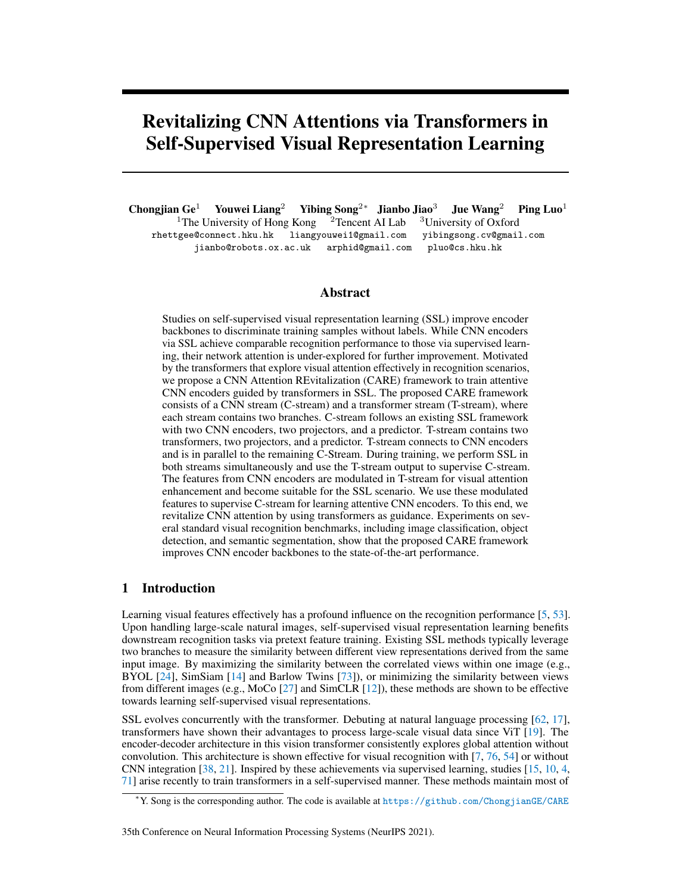<span id="page-5-0"></span>

Figure 4: Attention visualization of CNN encoders. We train two ResNet-50 encoders by using only C-stream and the whole CARE method, respectively. By taking the same image in (a) as inputs, the attention maps of these two encoders are shown in (b) and (c). The attention learned via CARE is more intense around the object regions shown in (c). In the attention visualization maps, pixels marked as red indicate the network pays more attention to the current regions.

## 3.4 Visualizations

Our CARE framework improves CNN encoder attention via transformer guidance. We show how encoders attend to the input objects by visualizing their attention maps. The ResNet-50 encoder backbone is used for visualization. We train this encoder for 200 epochs using only C-stream and the whole CARE framework, respectively. For input images, we use [\[51\]](#page-12-12) to visualize encoder responses. The visualization maps are scaled equally for comparison.

Fig. [4](#page-5-0) shows the visualization results. The input images are presented in (a), while the attention maps from the encoders trained with C-stream and CARE are shown in (b) and (c), respectively. Overall, the attention of the encoder trained with CARE is more intense than that with C-stream, which indicates that T-stream in CARE provides effective supervision for CNN encoders to learn to attend to object regions. The T-steam helps CNN encoders adaptively choose to focus on local regions or global regions. For example, when global information is needed for classification, the CNN encoder learned by CARE will pay more attention to the whole object, as in the last column in (c), rather than a limited region, as shown in (b). On the other hand, when local information is sufficient for classification, the CNN encoder learned via CARE will pay more intense attention to the specific regions (e.g., the animals' heads in (c) on the first and second columns). The attention maps shown in the visualization indicate that the CNN encoder becomes attentive on the object region via transformer guidance in our CARE framework.

# 4 Experiments

In this section, we perform experimental validation on our CARE method. First, we introduce implementation details. Then, we compare our CARE method to state-of-the-art SSL methods on standard benchmarks, including image classification, object detection, and semantic segmentation. Furthermore, we conduct ablation studies to analyze each component of the proposed CARE method.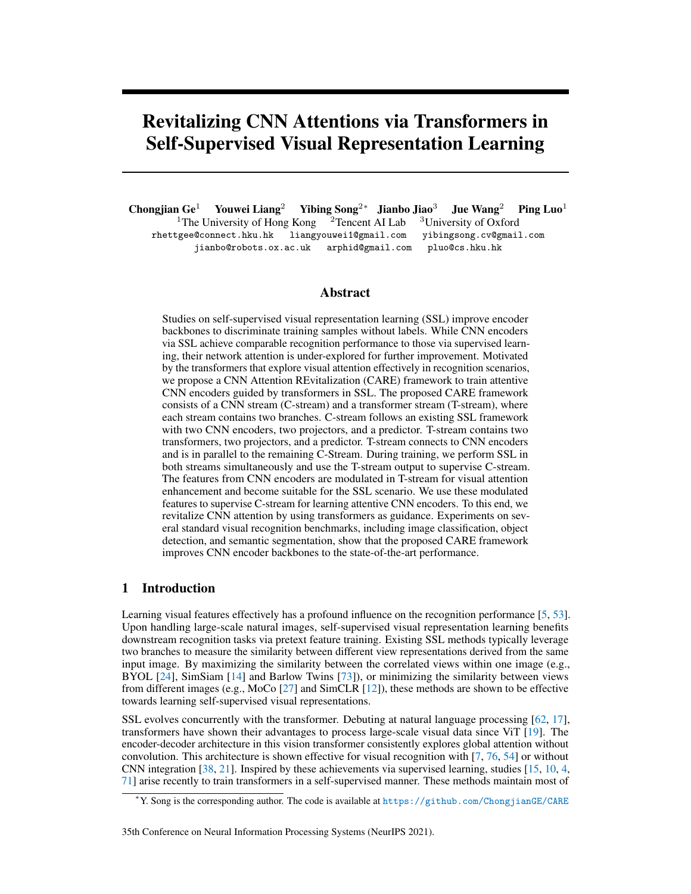<span id="page-6-0"></span>Table 1: Linear evaluations on ImageNet with top-1 accuracy (in %). We highlight the best experimental results under the same model parameters in bold.

(b) Classification accuracy via CNN and Transformer encoders.

| ResNet-50 encoder.              |                          |                              |                          | Method                                   | Arch.                              |            |                | Param. Epoch GFlops Top-1 |                         |
|---------------------------------|--------------------------|------------------------------|--------------------------|------------------------------------------|------------------------------------|------------|----------------|---------------------------|-------------------------|
| Method                          |                          |                              | 100ep 200ep 400ep        | <b>CMC</b> [58]                          | $ResNet-50(2\times)$               | 69M        | $\blacksquare$ | 11.4                      | - 70.6                  |
| <b>CMC</b> [58]<br>PCL v2 [34]  | $\overline{\phantom{a}}$ | 66.2<br>67.6                 | $\overline{\phantom{0}}$ | <b>BYOL</b> [24]<br><b>BYOL</b> [24]     | $ResNet-50(2\times)$<br>ResNet-101 | 69M<br>45M | 100<br>100     | 11.4                      | 71.9<br>7.8 72.3        |
| SimCLR $[12]$<br>MoCo $v2$ [13] | 66.5<br>67.4             | 68.3<br>69.9                 | 69.8<br>71.0             | <b>BYOL</b> [24]<br><b>BYOL</b> [24]     | ResNet-152<br>V <sub>i</sub> T-S   | 60M<br>22M | 100<br>300     |                           | 11.6 73.3<br>$4.6$ 71.0 |
| SWAV[9]<br>SimSiam [14]         | 66.5<br>68.1             | 69.1<br>70.0                 | 70.7<br>70.8             | <b>BYOL</b> [24]<br>MoCo v3 $[15]$ ViT-S | $ViT-B$                            | 86M<br>22M | 300<br>300     |                           | 17.7 73.9<br>4.6 72.5   |
| InfoMin Aug. $[59]$             | 66.5                     | 70.1<br>70.6                 | 73.2                     | CARE (ours) ResNet-50                    | CARE (ours) ResNet-50(2 $\times$ ) | 25M<br>69M | 200<br>100     |                           | 4.1 73.8<br>11.4 73.5   |
| BYOL [24]<br>Barlow Twins [73]  |                          | $\qquad \qquad \blacksquare$ | 72.5                     | CARE (ours) ResNet-101                   | CARE (ours) ResNet-50( $2\times$ ) | 69M<br>45M | 200<br>100     |                           | 11.4 75.0<br>7.8 73.5   |
| CARE (ours)                     |                          | 72.0 73.8 74.7               |                          | CARE (ours) ResNet-152                   |                                    | 60M        | 100            |                           | 11.6 74.9               |

(a) Classification accuracy by using the

#### 4.1 Implementation details

Image pre-processing. The training images we use during pretext training are from the ImageNet-1k [\[50\]](#page-12-14) dataset. We follow [\[24\]](#page-11-0) to augment image data before sending them to the encoders. Specifically, we randomly crop patches from one image and resize them to a fixed resolution of  $224 \times 224$ . Then, we perform random horizontal flip and random color distortions on these patches. The Gaussian blur, the decolorization, and the solarization operations are also adopted to preprocess these patches.

Network architectures. We use ResNet encoder backbones [\[29\]](#page-11-10) (i.e., ResNet-50, ResNet-101, and ResNet-152) in our experiments. The architectures of the projectors and the predictors are the same and follow [\[24\]](#page-11-0). Each projector and predictor consist of a fully-connected layer with a batch normalization and a ReLU [\[44\]](#page-12-15) activation, followed by another fully-connected layer. The transformer in the T-stream contains  $n$  attention blocks as shown in Fig. [3.](#page-3-1)

**Network training process.** We use the SGD optimizer with a momemtum of 0.9 during pretext training. The base learning rate is set as 0.05 and scaled linearly with respect to the batch size [\[23\]](#page-11-14) (i.e.,  $\text{lr}_{\text{base}} = 0.05 \times \text{BatchSize}/256$ ). We start the pretext training with a warm-up of 10 epochs where the learning rate rises linearly from  $10^{-6}$  to the base learning rate (l $r_{base}$ ). Then, we use a cosine decay schedule for the learning rate without restarting it [\[39,](#page-11-15) [24\]](#page-11-0) to train the network. The momentum update coefficient of network parameters (denoted as  $\tau$ ) is increased from 0.99 to 1 via a cosine design (i.e.,  $\tau = 1 - (1 - \tau_{\text{base}}) \cdot (\cos(\pi t/T) + 1)/2$ , where t is the current training step and  $T$  is the total number of training steps). We train CARE using 8 Tesla V100 GPUs with a batch size of 1024. The automatic mixed precision training strategy [\[41\]](#page-12-16) is adopted for training speedup.

#### 4.2 Comparison to state-of-the-art approaches

We compare feature representations of CNN encoders learned by our method and state-of-the-art SSL methods. Comparisons are conducted on recognition scenarios, including image classification (selfsupervised and semi-supervised learning configurations), object detection, and semantic segmentation.

Self-supervised learning on image classifications. We follow [\[27\]](#page-11-1) to use standard linear classification protocol where the parameters of the encoder backbone are fixed and an additional linear classifier is added to the backbone. We train this classifier using SGD for 80 epochs with a learning rate of 0.2, a momentum of 0.9, and a batch size of 256. The ImageNet training set is used for the training and the ImageNet validation set is used for evaluation.

Table [1](#page-6-0) shows the linear evaluation results with the top-1 accuracy. We show the classification results by using the ResNet-50 encoder learned via different SSL methods in Table [1a.](#page-6-0) In this table, our CARE method consistently outperforms other methods under different training epochs. Specifically, our method achieves a 74.7% top-1 accuracy under 400 training epochs, which is 1.5% higher than the second-best method BYOL. Meanwhile, we compare our method to other methods that use CNN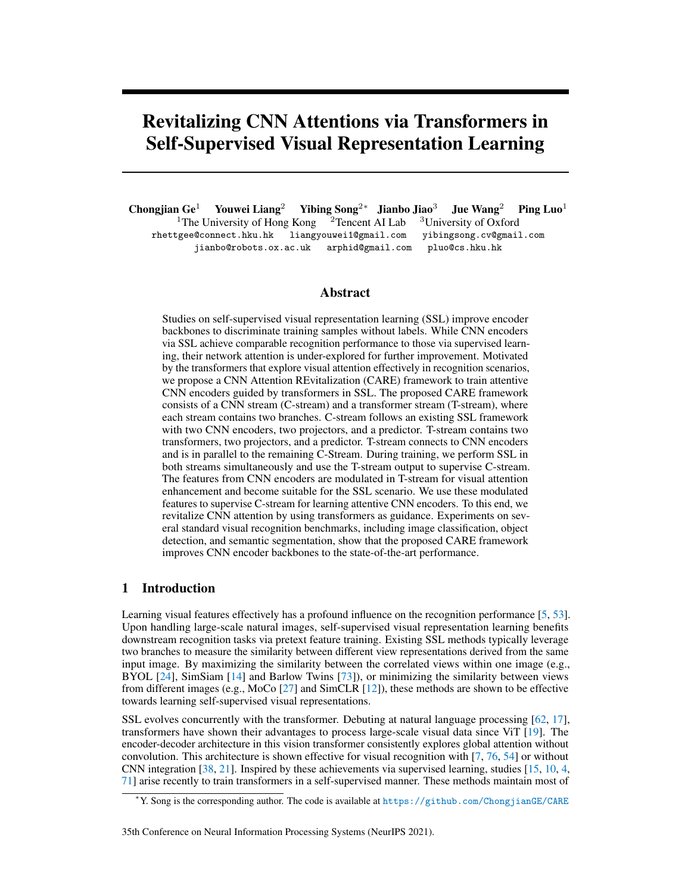| Method           | Arch.                | Param. | Epoch      | GFlops | $Top-1$ | Top- $5$ |
|------------------|----------------------|--------|------------|--------|---------|----------|
| <b>BYOL</b> [24] | ResNet-50            | 25M    | 800        | 4.1    | 74.3    | 91.7     |
| <b>BYOL</b> [24] | $ResNet-50(2\times)$ | 69M    | 800        | 11.4   | 76.2    | 92.8     |
| <b>BYOL</b> [24] | ResNet-101           | 45M    | 800        | 7.8    | 76.6    | 93.2     |
| <b>BYOL</b> [24] | ResNet-152           | 60M    | 800        | 11.6   | 77.3    | 93.3     |
| CARE (ours)      | ResNet-50            | 25M    | 200        | 4.1    | 73.8    | 91.5     |
| CARE (ours)      | ResNet-50            | 25M    | 400        | 4.1    | 74.7    | 92.0     |
| CARE (ours)      | ResNet-50            | 25M    | 800        | 4.1    | 75.6    | 92.3     |
| CARE (ours)      | $ResNet-50(2\times)$ | 69M    | 200        | 11.4   | 75.0    | 92.2     |
| CARE (ours)      | $ResNet-50(2\times)$ | 69M    | 400        | 11.4   | 76.5    | 93.0     |
| CARE (ours)      | $ResNet-50(2\times)$ | 69M    | 800        | 11.4   | 77.O    | 93.2     |
| CARE (ours)      | ResNet-101           | 45M    | <b>200</b> | 7.8    | 75.9    | 92.7     |
| CARE (ours)      | ResNet-101           | 45M    | 400        | 7.8    | 76.9    | 93.3     |
| CARE (ours)      | ResNet-101           | 45M    | 800        | 7.8    | 77.2    | 93.5     |
| CARE (ours)      | ResNet-152           | 60M    | <b>200</b> | 11.6   | 76.6    | 93.1     |
| CARE (ours)      | ResNet-152           | 60M    | 400        | 11.6   | 77.4    | 93.6     |
| CARE (ours)      | ResNet-152           | 60M    | 800        | 11.6   | 78.1    | 93.8     |

<span id="page-7-0"></span>Table 2: Linear evaluations on ImageNet with top-1 and top-5 accuracy (in%). We present the experimental results of different CNN encoders that are trained by using more epochs (e.g., 200 epochs, 400 epochs and 800 epochs).

<span id="page-7-1"></span>Table 3: Image classification by using semi-supervised training on ImageNet with Top-1 and Top-5 accuracy (in %). We report our method with more training epochs in the supplementary files.

| (a) Classification accuracy by using the |  |  |  |
|------------------------------------------|--|--|--|
| ResNet-50 encoder                        |  |  |  |

(b) Classification accuracy by using other CNN encoders.

| $\alpha$ , crassmitration accuracy $\sigma$ , asing the |       |         |              |                     |                        |                                    |       |         |                     |                   |
|---------------------------------------------------------|-------|---------|--------------|---------------------|------------------------|------------------------------------|-------|---------|---------------------|-------------------|
| ResNet-50 encoder.                                      |       |         |              |                     | Method                 | Arch.                              | Epoch | $Top-1$ |                     | $Top-5$           |
| Method                                                  | Epoch | $Top-1$ |              | $Top-5$             |                        |                                    |       |         |                     | 1\% 10\% 1\% 10\% |
|                                                         |       |         |              | 1\% 10\% 1\% 10\%   | <b>BYOL</b> [24]       | $ResNet-50(2\times)$               | 100   |         | 55.6 66.7 77.5 87.7 |                   |
|                                                         |       |         |              |                     | BYOL [24]              | ResNet-101                         | 100   |         | 55.8 65.8 79.5 87.4 |                   |
| Supervised [75]                                         |       |         |              | 25.4 56.4 48.4 80.4 | <b>BYOL</b> [24]       | ResNet-152                         | 100   |         | 56.8 67.2 79.3 88.1 |                   |
| <b>PIRL [43]</b>                                        |       |         | $\mathbf{r}$ | 57.2 83.8           |                        | CARE (ours) ResNet-50( $2\times$ ) | 100   |         | 57.4 67.5 79.8 88.3 |                   |
| $SimCLR$ [12]                                           | 800   |         |              | 48.3 65.6 75.5 87.8 |                        | CARE (ours) ResNet-50( $2\times$ ) | 200   |         | 61.2 69.6 82.3 89.5 |                   |
| <b>BYOL</b> [24]                                        | 800   |         |              | 53.2 68.8 78.4 89.0 | CARE (ours) ResNet-101 |                                    | 100   |         | 57.1 67.1 80.8 88.2 |                   |
| CARE (Ours)                                             | 400   |         |              | 60.0 69.6 81.3 89.3 | CARE (ours) ResNet-101 |                                    | 200   |         | 62.2 70.4 85.0 89.8 |                   |
|                                                         |       |         |              |                     | CARE (ours) ResNet-152 |                                    | 100   |         | 59.4 69.0 82.3 89.0 |                   |
|                                                         |       |         |              |                     |                        |                                    |       |         |                     |                   |

and transformer (i.e., ViT [\[19\]](#page-10-4)) encoders in Table [1b.](#page-6-0) The results show that, under similar number of parameters of CNN and transformer encoders (i.e., ResNet-50 and ViT-S), CARE achieves higher accuracy than other SSL methods. This indicates that CARE improves CNN encoders to outperform transformer encoders by utilizing visual attention. Besides, we provide the linear classification results of different CNN encoders (e.g., ResNet-101 and ResNet-152) with more training time in Table [2,](#page-7-0) where our CARE method also consistently prevails.

Semi-supervised learning on image classifications. We evaluate our CARE method by using a semi-supervised training configuration on the ImageNet dataset. After pretext training, we finetune the encoder by using a small subset of ImageNet's training set. We follow the semi-supervised learning protocol [\[24,](#page-11-0) [12\]](#page-10-2) to use  $1\%$  and  $10\%$  training data (the same data splits as in [\[12\]](#page-10-2)) during finetuning. Table [3](#page-7-1) shows the top-1 and top-5 accuracy on the ImageNet validation set. The results indicate that our CARE method achieves higher classification accuracy than other SSL methods under different encoder backbones and training epochs.

Transfer learning to object detection and semantic segmentation. We evaluate CARE's representations on the downstream object detection and semantic segmentation scenarios. We use the standard VOC-07, VOC-12, and COCO datasets [\[20,](#page-10-19) [37\]](#page-11-16). We follow the standard protocol [\[27\]](#page-11-1) to integrate the pretext trained CNN encoder into Faster-RCNN [\[48\]](#page-12-18) when evaluating object detection results on VOC-07 and VOC-12 datasets. On the other hand, we integrate this encoder into Mask-RCNN [\[28\]](#page-11-17) when evaluating object detection and semantic segmentation in COCO dataset. The ResNet-50 encoder is used in all the methods. All detectors are finetuned for 24k iterations using VOC-07 and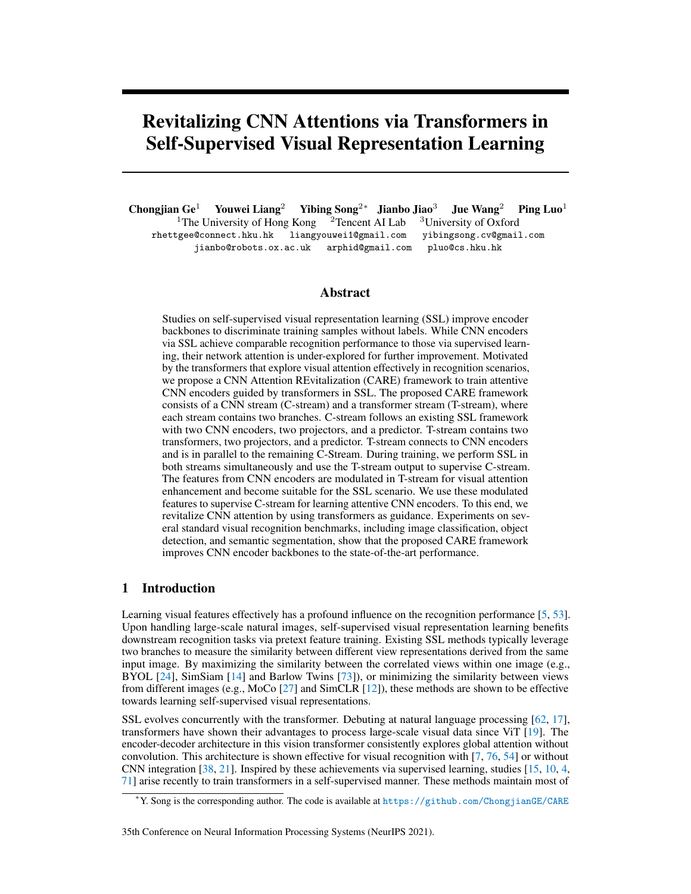|                  |            | COCO det. |                | COCO instance seg. |           |                | VOC07+12 det.  |      |           |           |
|------------------|------------|-----------|----------------|--------------------|-----------|----------------|----------------|------|-----------|-----------|
| Method           | Epoch      | $AP^{bb}$ | $AP_{50}^{bb}$ | $AP_{75}^{bb}$     | $AP^{mk}$ | $AP_{50}^{mk}$ | $AP_{75}^{mk}$ | AP   | $AP_{50}$ | $AP_{75}$ |
| Rand Init        | -          | 26.4      | 44.0           | 27.8               | 29.3      | 46.9           | 30.8           | 33.8 | 60.2      | 33.1      |
| Supervised       | 90         | 38.2      | 58.2           | 41.2               | 33.3      | 54.7           | 35.2           | 53.5 | 81.3      | 58.8      |
| <b>PIRL[43]</b>  | 200        | 37.4      | 56.5           | 40.2               | 32.7      | 53.4           | 34.7           | 55.5 | 81.0      | 61.3      |
| MoCo[27]         | <b>200</b> | 38.5      | 58.3           | 41.6               | 33.6      | 54.8           | 35.6           | 55.9 | 81.5      | 62.6      |
| $MoCo-v2[13]$    | 200        | 38.9      | 58.4           | 42.0               | 34.2      | 55.2           | 36.5           | 57.0 | 82.4      | 63.6      |
| $MoCo-v2[13]$    | 800        | 39.3      | 58.9           | 42.5               | 34.4      | 55.8           | 36.5           | 57.4 | 82.5      | 64.0      |
| SWAV[9]          | <b>200</b> | 32.9      | 54.3           | 34.5               | 29.5      | 50.4           | 30.4           |      |           |           |
| SWAV[9]          | 800        | 38.4      | 58.6           | 41.3               | 33.8      | 55.2           | 35.9           | 56.1 | 82.6      | 62.7      |
| Barlow Twins[73] | 1000       | 39.2      | 59.0           | 42.5               | 34.3      | 56.0           | 36.5           | 56.8 | 82.6      | 63.4      |
| BYOL [24]        | 200        | 39.2      | 58.9           | 42.4               | 34.3      | 55.6           | 36.7           | 57.0 | 82.3      | 63.6      |
| CARE (Ours)      | <b>200</b> | 39.4      | 59.2           | 42.6               | 34.6      | 56.1           | 36.8           | 57.7 | 83.0      | 64.5      |
| CARE (Ours)      | 400        | 39.6      | 59.4           | 42.9               | 34.7      | 56.1           | 36.9           | 57.9 | 83.0      | 64.7      |

<span id="page-8-0"></span>Table 4: Transfer learning to object detection and instance segmentation. The best two results in each column are in bold. Our method achieves favorable detection and segmentation performance by using limited training epochs.

<span id="page-8-1"></span>Table 5: Transfer learning to object detection and instance segmentation with the Mask R-CNN R50-FPN detector. The best two results in each column are in bold. Our method achieves favorable detection and segmentation performance by using limited training epochs.

|                  |       |           | COCO det.      |                |           | COCO instance seg. |                |
|------------------|-------|-----------|----------------|----------------|-----------|--------------------|----------------|
| Method           | Epoch | $AP^{bb}$ | $AP_{50}^{bb}$ | $AP_{75}^{bb}$ | $AP^{mk}$ | $AP_{50}^{mk}$     | $AP_{75}^{mk}$ |
| Rand Init        |       | 31.0      | 49.5           | 33.2           | 28.5      | 46.8               | 30.4           |
| Supervised       | 90    | 38.9      | 59.6           | 42.7           | 35.4      | 56.5               | 38.1           |
| PIRL[43]         | 200   | 37.5      | 57.6           | 41.0           | 34.0      | 54.6               | 36.2           |
| MoCo[27]         | 200   | 38.5      | 58.9           | 42.0           | 35.1      | 55.9               | 37.7           |
| $MoCo-v2[13]$    | 200   | 38.9      | 59.4           | 42.4           | 35.5      | 56.5               | 38.1           |
| $MoCo-v2[13]$    | 800   | 39.4      | 59.9           | 43.0           | 35.8      | 56.9               | 38.4           |
| SwAV[9]          | 200   | 38.5      | 60.4           | 41.4           | 35.4      | 57.0               | 37.7           |
| <b>BYOL</b> [24] | 200   | 39.1      | 59.5           | 42.7           | 35.6      | 56.5               | 38.2           |
| <b>BYOL</b> [24] | 400   | 39.2      | 59.6           | 42.9           | 35.6      | 56.7               | 38.2           |
| <b>BYOL</b> [24] | 800   | 39.4      | 59.9           | 43.0           | 35.8      | 56.8               | 38.5           |
| Barlow Twins[73] | 1000  | 36.9      | 58.5           | 39.7           | 34.3      | 55.4               | 36.5           |
| CARE (Ours)      | 200   | 39.5      | 60.2           | 43.1           | 35.9      | 57.2               | 38.5           |
| CARE (Ours)      | 400   | 39.8      | 60.5           | 43.5           | 36.2      | 57.4               | 38.8           |

VOC-12 training sets and are evaluated on the VOC-07 test set. On the COCO dataset, all models are finetuned via the  $1\times$  schedule. The results are averaged over five independent trials.

Table [4](#page-8-0) shows the evaluation results. Compared to the supervised method, our CARE improves detection (i.e., 1.4% on COCO and 4.4% on VOC) and segmentation (i.e., 1.4% on COCO) performance. On the other hand, our CARE method compares favorably against other SSL methods. Note that the results of our method are reported under 200 and 400 epochs, which are still higher than other methods under 800 epochs. This indicates the effectiveness of our CARE method on learning the CNN encoder backbone. The comparisons on COCO datasets are similar to those on VOC. Specifically, our CARE method achieves a  $0.5\%$  AP<sup>bb</sup> increase and a  $0.4\%$  AP<sup>mk</sup> increase upon MoCo v2 under 200 epochs. The performance improvement is mainly brought by the visual attention integration from transformer guidance.

Besides, we further evaluate CARE's representation on the COCO dataset via a more powerful detector, the feature pyramid network (FPN) [\[36\]](#page-11-18), and report the results in Table [5.](#page-8-1) We follow the same evaluation protocol introduced above. The detectors are trained with  $1\times$  schedule (90k iterations) for fair comparisons. Again, CARE trained for 200/400 epochs outperforms other state-ofthe-art SSL methods trained for 800/1000 epochs on object detection and semantic segmentation on the COCO dataset, which suggests that the CNN encoder in CARE is empowered by the attention mechanism of the transformer which supervises the CNN encoder in the pretraining.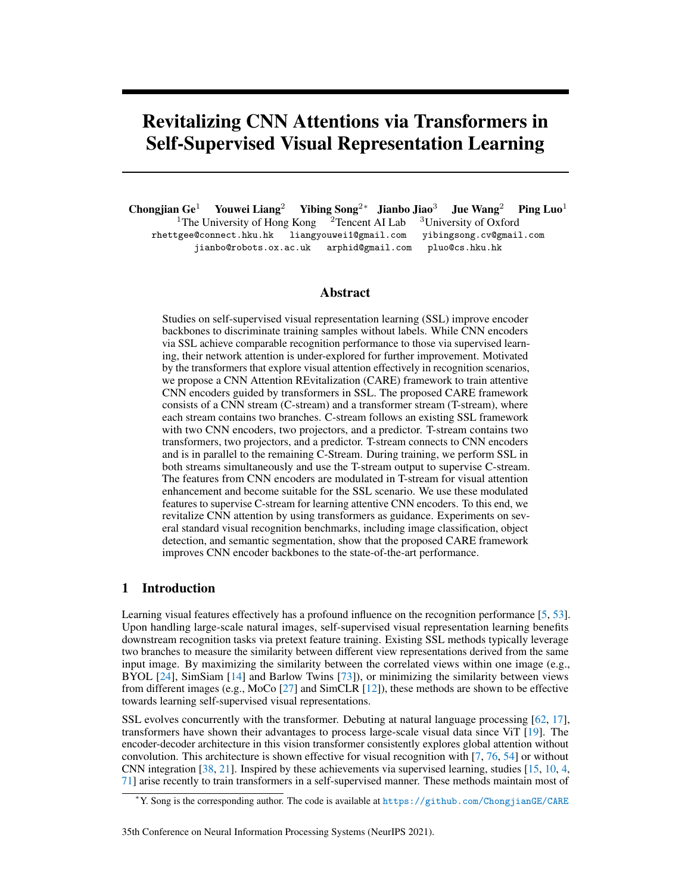<span id="page-9-0"></span>

| Table 6: Analysis on $\lambda$ . |         |                  | Table 7: Analysis on $n$ . | Table 8: Analysis on the posi-<br>tional encoding. |         |  |
|----------------------------------|---------|------------------|----------------------------|----------------------------------------------------|---------|--|
|                                  | $Top-1$ | $\boldsymbol{n}$ | $Top-1$                    |                                                    |         |  |
|                                  | 70.52   | ∍                | 71.08                      | Position encoding                                  | $Top-1$ |  |
|                                  | 70.88   |                  | 71.60                      | none                                               | 69.49   |  |
| 10                               | 70.96   | 4                | 71.79                      | $sin-cos$ absolute $[62]$                          | 66.68   |  |
| 100                              | 72.06   |                  | 72.06                      | learnable absolute [55]                            | 72.01   |  |
| 250                              | 72.00   | <sub>b</sub>     | 69.37                      | learnable relative [52]                            | 72.06   |  |

#### 4.3 Ablation studies

In our CARE method, visual attention is explored via transformers to supervise C-stream. We analyze the influence of attention supervision by using different values of  $\lambda$  in Eq. [\(5\)](#page-4-2). Also, we analyze how the number of attention blocks and the positional encoding affect feature representations. Besides, we further take an investigation of the sequential and parallel design of T-stream. We use the ResNet-50 as encoder backbone and the number of training epochs is set to 100. The top-1 image classification accuracy on ImageNet via SSL is reported to indicate feature representation effectiveness.

**Supervision influence**  $\lambda$ . We study how the attention supervision term  $\mathcal{L}_{\text{att}}$  in Eq. [\(5\)](#page-4-2) affects feature representation by using different values of  $\lambda$ . Table [6](#page-9-0) shows the evaluation results. When we set  $\lambda$  as 0, the CNN encoder is learned without attention supervision. In this case, the performance decreases significantly. When we increase the value of  $\lambda$ , the attention supervision increases as well. We observe that  $\lambda = 100$  achieves the best performance and adopt this setting in the overall experiments.

Number of attention blocks. We analyze how the capacity of transformer in T-stream affects the recognition performance. We set  $n = [2, ..., 6]$  to constitute five transformers in T-stream with increasing capacities. Then, we report the recognition performance of the corresponding CNN encoders in Table [7.](#page-9-0) When  $n$  is larger, the transformer capacity increases and stronger visual attention are explored. This attention supervises C-stream to improve the encoder. However, the recognition performance drop when  $n = 6$ . This may be due to the broken balance between the attention loss  $\mathcal{L}_{\text{att}}$  and the original SSL loss  $\mathcal{L}_c$ . In our experiment, we set  $n = 5$  in our CARE method.

Positional encoding. We analyze how positional encoding affects the final performance. Numerous positional encoding settings [\[62,](#page-13-1) [55,](#page-12-19) [52\]](#page-12-20) are adopted for analysis in Table [8.](#page-9-0) Without positional encoding, the performance decreases significantly. Meanwhile, the conventional fixed sine-cosine encoding setting is not suitable for CARE. We experimentally find that using learnable parameter configuration in positional encoding improves recognition performance and adopt [\[52\]](#page-12-20) in CARE.

Sequential design *v.s.* parallel design. Experimental results on training ResNet-50 with 100 epochs indicate that parallel design is effective than sequential design (i.e., 72.02% v.s. 69.32%). This is because during the sequential training process, both the CNN encoders and the transformers are optimized together rather than the CNN encoders themselves. This prevents attention supervision from training the CNN encoders thoroughly.

## 5 Concluding remarks

Transformers have advanced visual recognition via attention exploration architectures. In selfsupervised visual representation learning, studies emerge to utilize transformer backbones for recognition performance improvement. This indicates that visual attention explored by the transformers benefit SSL methods. Motivated by this success, we investigate how to explore visual attention effectively to benefit CNN encoders in SSL. We propose CARE to develop a parallel transformer stream together with the CNN stream. The visual attention is thus explored via transformers to supervise the CNN stream during SSL. Although the limitation occurs that more computational cost is spent on the SSL and attention supervision loss term, the learned CNN encoder becomes attentive with transformer guidance and does not consume more costs in downstream tasks. Experiments on the standard visual recognition benchmarks, including image classification, object detection, and semantic segmentation, indicate that CARE improves CNN encoder backbones to a new state-of-the-art performance.

Acknowledgement. This work is supported by CCF-Tencent Open Fund, the General Research Fund of Hong Kong No.27208720 and the EPSRC Programme Grant Visual AI EP/T028572/1.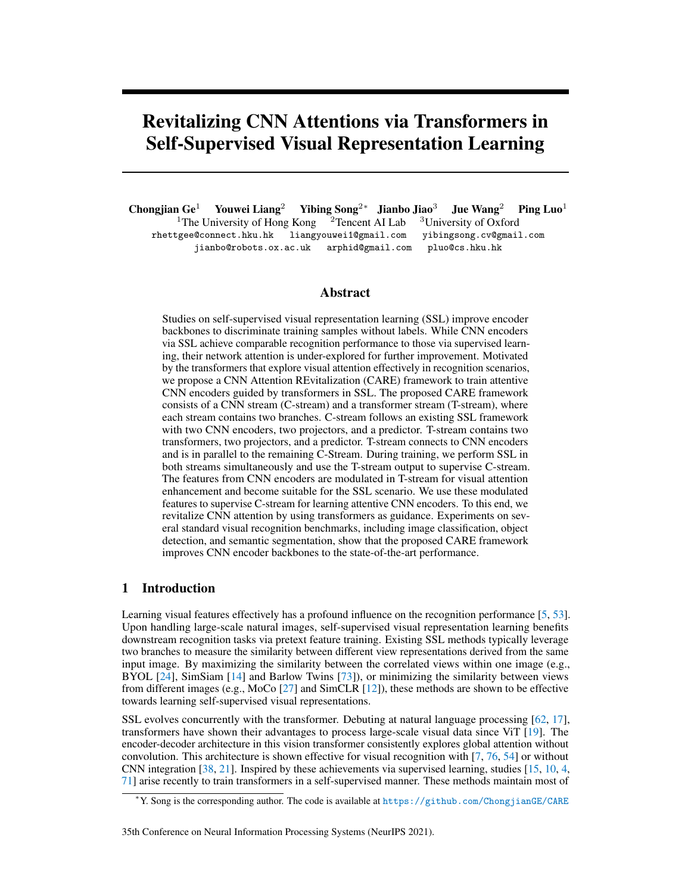## References

- <span id="page-10-13"></span>[1] Jean-Baptiste Alayrac, Adrià Recasens, Rosalia Schneider, Relja Arandjelovic, Jason Ramapuram, Jeffrey ´ De Fauw, Lucas Smaira, Sander Dieleman, and Andrew Zisserman. Self-supervised multimodal versatile networks. In *Advances in Neural Information Processing Systems*, 2020.
- <span id="page-10-14"></span>[2] Humam Alwassel, Dhruv Mahajan, Bruno Korbar, Lorenzo Torresani, Bernard Ghanem, and Du Tran. Self-supervised learning by cross-modal audio-video clustering. In *Advances in Neural Information Processing Systems*, 2020.
- <span id="page-10-15"></span>[3] Yuki M Asano, Mandela Patrick, Christian Rupprecht, and Andrea Vedaldi. Labelling unlabelled videos from scratch with multi-modal self-supervision. In *Advances in Neural Information Processing Systems*, 2020.
- <span id="page-10-8"></span>[4] Sara Atito, Muhammad Awais, and Josef Kittler. Sit: Self-supervised vision transformer. *arXiv preprint arXiv:2104.03602*, 2021.
- <span id="page-10-0"></span>[5] Y-Lan Boureau, Francis Bach, Yann LeCun, and Jean Ponce. Learning mid-level features for recognition. In *IEEE/CVF Conference on Computer Vision and Pattern Recognition*, 2010.
- <span id="page-10-10"></span>[6] Andrew Brock, Jeff Donahue, and Karen Simonyan. Large scale gan training for high fidelity natural image synthesis. In *International Conference on Learning Representations*, 2019.
- <span id="page-10-5"></span>[7] Nicolas Carion, Francisco Massa, Gabriel Synnaeve, Nicolas Usunier, Alexander Kirillov, and Sergey Zagoruyko. End-to-end object detection with transformers. In *European Conference on Computer Vision*, 2020.
- <span id="page-10-11"></span>[8] Mathilde Caron, Piotr Bojanowski, Armand Joulin, and Matthijs Douze. Deep clustering for unsupervised learning of visual features. In *European Conference on Computer Vision*, 2018.
- <span id="page-10-12"></span>[9] Mathilde Caron, Ishan Misra, Julien Mairal, Priya Goyal, Piotr Bojanowski, and Armand Joulin. Unsupervised learning of visual features by contrasting cluster assignments. In *Advances in Neural Information Processing Systems*, 2020.
- <span id="page-10-7"></span>[10] Mathilde Caron, Hugo Touvron, Ishan Misra, Hervé Jégou, Julien Mairal, Piotr Bojanowski, and Armand Joulin. Emerging properties in self-supervised vision transformers. *arXiv preprint arXiv:2104.14294*, 2021.
- <span id="page-10-17"></span>[11] Hanting Chen, Yunhe Wang, Tianyu Guo, Chang Xu, Yiping Deng, Zhenhua Liu, Siwei Ma, Chunjing Xu, Chao Xu, and Wen Gao. Pre-trained image processing transformer. *arXiv preprint arXiv:2012.00364*, 2020.
- <span id="page-10-2"></span>[12] Ting Chen, Simon Kornblith, Mohammad Norouzi, and Geoffrey Hinton. A simple framework for contrastive learning of visual representations. In *International Conference on Machine Learning*, 2020.
- <span id="page-10-18"></span>[13] Xinlei Chen, Haoqi Fan, Ross B. Girshick, and Kaiming He. Improved baselines with momentum contrastive learning. *CoRR*, abs/2003.04297, 2020.
- <span id="page-10-1"></span>[14] Xinlei Chen and Kaiming He. Exploring simple siamese representation learning. In *IEEE/CVF Conference on Computer Vision and Pattern Recognition*, 2021.
- <span id="page-10-6"></span>[15] Xinlei Chen, Saining Xie, and Kaiming He. An empirical study of training self-supervised visual transformers. *arXiv preprint arXiv:2104.02057*, 2021.
- <span id="page-10-16"></span>[16] Cheng Chi, Fangyun Wei, and Han Hu. Relationnet++: Bridging visual representations for object detection via transformer decoder. In *Advances in Neural Information Processing Systems*, 2020.
- <span id="page-10-3"></span>[17] Jacob Devlin, Ming-Wei Chang, Kenton Lee, and Kristina Toutanova. Bert: Pre-training of deep bidirectional transformers for language understanding. *arXiv preprint arXiv:1810.04805*, 2018.
- <span id="page-10-9"></span>[18] Jeff Donahue and Karen Simonyan. Large scale adversarial representation learning. In *Advances in Neural Information Processing Systems*, 2019.
- <span id="page-10-4"></span>[19] Alexey Dosovitskiy, Lucas Beyer, Alexander Kolesnikov, Dirk Weissenborn, Xiaohua Zhai, Thomas Unterthiner, Mostafa Dehghani, Matthias Minderer, Georg Heigold, Sylvain Gelly, et al. An image is worth 16x16 words: Transformers for image recognition at scale. In *International Conference on Learning Representations*, 2021.
- <span id="page-10-19"></span>[20] Mark Everingham, Luc Van Gool, Christopher KI Williams, John Winn, and Andrew Zisserman. The pascal visual object classes (voc) challenge. *International Journal of Computer Vision*, 2010.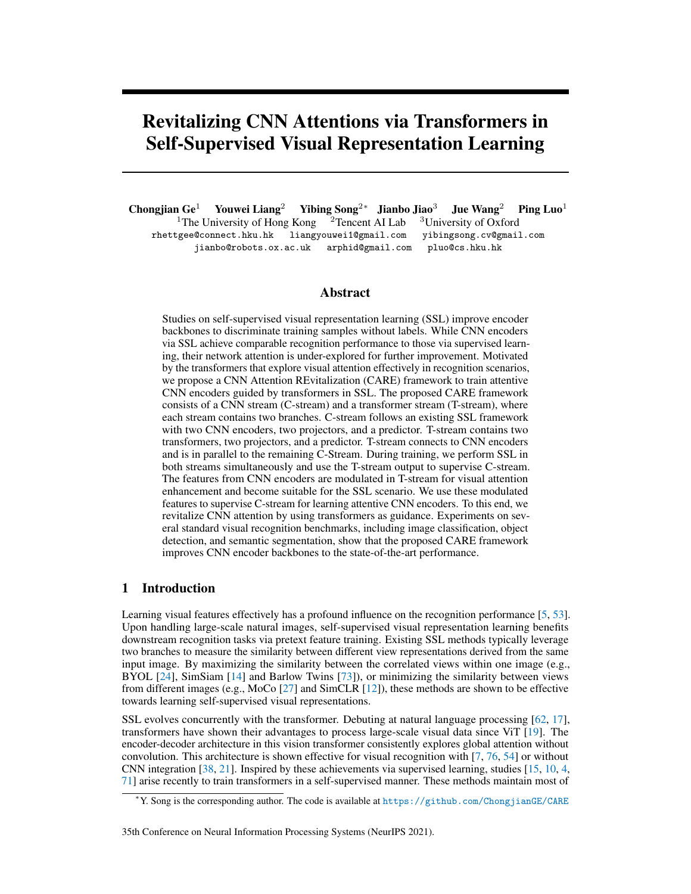- <span id="page-11-3"></span>[21] Haoqi Fan, Bo Xiong, Karttikeya Mangalam, Yanghao Li, Zhicheng Yan, Jitendra Malik, and Christoph Feichtenhofer. Multiscale vision transformers. *arXiv preprint arXiv:2104.11227*, 2021.
- <span id="page-11-5"></span>[22] Zhiyuan Fang, Jianfeng Wang, Lijuan Wang, Lei Zhang, Yezhou Yang, and Zicheng Liu. Seed: Selfsupervised distillation for visual representation. In *International Conference on Learning Representations*, 2021.
- <span id="page-11-14"></span>[23] Priya Goyal, Piotr Dollár, Ross Girshick, Pieter Noordhuis, Lukasz Wesolowski, Aapo Kyrola, Andrew Tulloch, Yangqing Jia, and Kaiming He. Accurate, large minibatch sgd: Training imagenet in 1 hour. *arXiv preprint arXiv:1706.02677*, 2017.
- <span id="page-11-0"></span>[24] Jean-Bastien Grill, Florian Strub, Florent Altché, Corentin Tallec, Pierre H Richemond, Elena Buchatskaya, Carl Doersch, Bernardo Avila Pires, Zhaohan Daniel Guo, Mohammad Gheshlaghi Azar, et al. Bootstrap your own latent: A new approach to self-supervised learning. In *Advances in Neural Information Processing Systems*, 2020.
- <span id="page-11-9"></span>[25] Kai Han, Yunhe Wang, Hanting Chen, Xinghao Chen, Jianyuan Guo, Zhenhua Liu, Yehui Tang, An Xiao, Chunjing Xu, Yixing Xu, et al. A survey on visual transformer. *arXiv preprint arXiv:2012.12556*, 2020.
- <span id="page-11-7"></span>[26] Tengda Han, Weidi Xie, and Andrew Zisserman. Self-supervised co-training for video representation learning. In *Advances in Neural Information Processing Systems*, 2020.
- <span id="page-11-1"></span>[27] Kaiming He, Haoqi Fan, Yuxin Wu, Saining Xie, and Ross Girshick. Momentum contrast for unsupervised visual representation learning. In *IEEE/CVF Conference on Computer Vision and Pattern Recognition*, 2020.
- <span id="page-11-17"></span>[28] Kaiming He, Georgia Gkioxari, Piotr Dollár, and Ross Girshick. Mask r-cnn. In *IEEE/CVF International Conference on Computer Vision*, 2017.
- <span id="page-11-10"></span>[29] Kaiming He, Xiangyu Zhang, Shaoqing Ren, and Jian Sun. Deep residual learning for image recognition. In *IEEE/CVF Conference on Computer Vision and Pattern Recognition*, 2016.
- <span id="page-11-4"></span>[30] Olivier Henaff. Data-efficient image recognition with contrastive predictive coding. In *International Conference on Machine Learning*, 2020.
- <span id="page-11-11"></span>[31] Geoffrey Hinton, Oriol Vinyals, and Jeff Dean. Distilling the knowledge in a neural network. *arXiv preprint arXiv:1503.02531*, 2015.
- <span id="page-11-6"></span>[32] R Devon Hjelm, Alex Fedorov, Samuel Lavoie-Marchildon, Karan Grewal, Phil Bachman, Adam Trischler, and Yoshua Bengio. Learning deep representations by mutual information estimation and maximization. In *International Conference on Learning Representations*, 2019.
- <span id="page-11-8"></span>[33] Quan Kong, Wenpeng Wei, Ziwei Deng, Tomoaki Yoshinaga, and Tomokazu Murakami. Cycle-contrast for self-supervised video representation learning. In *Advances in Neural Information Processing Systems*, 2020.
- <span id="page-11-13"></span>[34] Junnan Li, Pan Zhou, Caiming Xiong, Richard Socher, and Steven CH Hoi. Prototypical contrastive learning of unsupervised representations. *arXiv preprint arXiv:2005.04966*, 2020.
- <span id="page-11-12"></span>[35] Timothy P Lillicrap, Jonathan J Hunt, Alexander Pritzel, Nicolas Heess, Tom Erez, Yuval Tassa, David Silver, and Daan Wierstra. Continuous control with deep reinforcement learning. In *International Conference on Learning Representations*, 2016.
- <span id="page-11-18"></span>[36] Tsung-Yi Lin, Piotr Dollár, Ross Girshick, Kaiming He, Bharath Hariharan, and Serge Belongie. Feature pyramid networks for object detection. In *IEEE/CVF Conference on Computer Vision and Pattern Recognition*, 2017.
- <span id="page-11-16"></span>[37] Tsung-Yi Lin, Michael Maire, Serge Belongie, James Hays, Pietro Perona, Deva Ramanan, Piotr Dollár, and C Lawrence Zitnick. Microsoft coco: Common objects in context. In *European Conference on Computer Vision*, 2014.
- <span id="page-11-2"></span>[38] Ze Liu, Yutong Lin, Yue Cao, Han Hu, Yixuan Wei, Zheng Zhang, Stephen Lin, and Baining Guo. Swin transformer: Hierarchical vision transformer using shifted windows. *arXiv preprint arXiv:2103.14030*, 2021.
- <span id="page-11-15"></span>[39] Ilya Loshchilov and Frank Hutter. Sgdr: Stochastic gradient descent with warm restarts. *arXiv preprint arXiv:1608.03983*, 2016.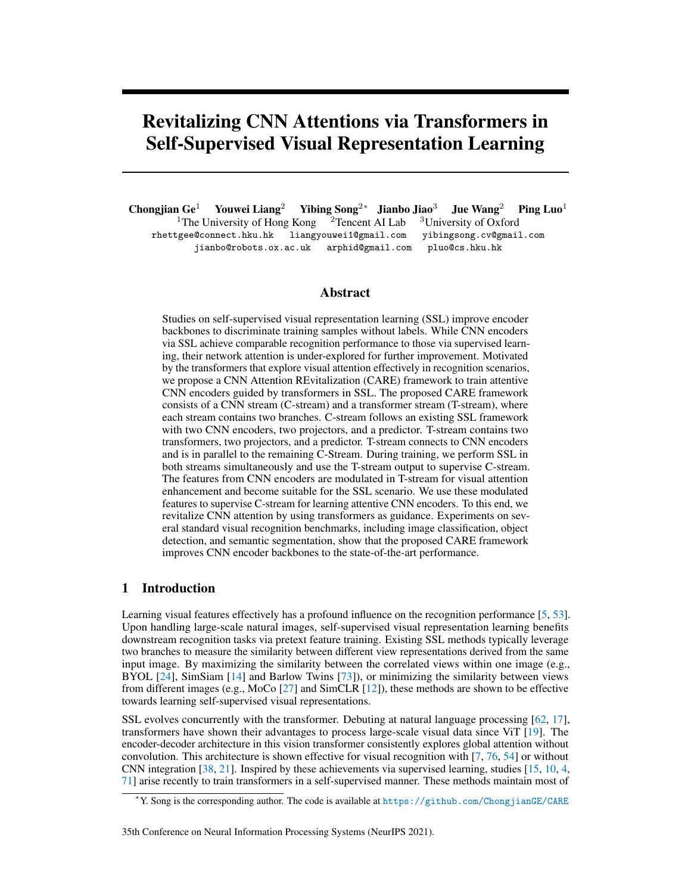- <span id="page-12-10"></span>[40] Tim Meinhardt, Alexander Kirillov, Laura Leal-Taixe, and Christoph Feichtenhofer. Trackformer: Multiobject tracking with transformers. *arXiv preprint arXiv:2101.02702*, 2021.
- <span id="page-12-16"></span>[41] Paulius Micikevicius, Sharan Narang, Jonah Alben, Gregory Diamos, Erich Elsen, David Garcia, Boris Ginsburg, Michael Houston, Oleksii Kuchaiev, Ganesh Venkatesh, et al. Mixed precision training. *arXiv preprint arXiv:1710.03740*, 2017.
- <span id="page-12-6"></span>[42] Ishan Misra and Laurens van der Maaten. Self-supervised learning of pretext-invariant representations. In *IEEE/CVF Conference on Computer Vision and Pattern Recognition*, 2020.
- <span id="page-12-17"></span>[43] Ishan Misra and Laurens van der Maaten. Self-supervised learning of pretext-invariant representations. In *IEEE/CVF Conference on Computer Vision and Pattern Recognition*, 2020.
- <span id="page-12-15"></span>[44] Vinod Nair and Geoffrey E Hinton. Rectified linear units improve restricted boltzmann machines. In *International Conference on Machine Learning*, 2010.
- <span id="page-12-7"></span>[45] Tian Pan, Yibing Song, Tianyu Yang, Wenhao Jiang, and Wei Liu. Videomoco: Contrastive video representation learning with temporally adversarial examples. In *IEEE/CVF Conference on Computer Vision and Pattern Recognition*, 2021.
- <span id="page-12-11"></span>[46] Niki Parmar, Ashish Vaswani, Jakob Uszkoreit, Lukasz Kaiser, Noam Shazeer, Alexander Ku, and Dustin Tran. Image transformer. In *International Conference on Machine Learning*, 2018.
- <span id="page-12-2"></span>[47] Shi Pu, Yibing Song, Chao Ma, Honggang Zhang, and Ming Hsuan Yang. Deep attentive tracking via reciprocative learning. In *Advances in Neural Information Processing Systems*, 2018.
- <span id="page-12-18"></span>[48] Shaoqing Ren, Kaiming He, Ross Girshick, and Jian Sun. Faster r-cnn: Towards real-time object detection with region proposal networks. In *Advances in Neural Information Processing Systems*, 2015.
- <span id="page-12-3"></span>[49] Danilo Jimenez Rezende, Shakir Mohamed, and Daan Wierstra. Stochastic backpropagation and variational inference in deep latent gaussian models. In *International Conference on Machine Learning*, 2014.
- <span id="page-12-14"></span>[50] Olga Russakovsky, Jia Deng, Hao Su, Jonathan Krause, Sanjeev Satheesh, Sean Ma, Zhiheng Huang, Andrej Karpathy, Aditya Khosla, Michael Bernstein, et al. Imagenet large scale visual recognition challenge. *International Journal of Computer Vision*, 2015.
- <span id="page-12-12"></span>[51] Ramprasaath R Selvaraju, Michael Cogswell, Abhishek Das, Ramakrishna Vedantam, Devi Parikh, and Dhruv Batra. Grad-cam: Visual explanations from deep networks via gradient-based localization. In *IEEE/CVF International Conference on Computer Vision*, 2017.
- <span id="page-12-20"></span>[52] Peter Shaw, Jakob Uszkoreit, and Ashish Vaswani. Self-attention with relative position representations. *arXiv preprint arXiv:1803.02155*, 2018.
- <span id="page-12-0"></span>[53] Ya-Fang Shih, Yang-Ming Yeh, Yen-Yu Lin, Ming-Fang Weng, Yi-Chang Lu, and Yung-Yu Chuang. Deep co-occurrence feature learning for visual object recognition. In *IEEE/CVF Conference on Computer Vision and Pattern Recognition*, 2017.
- <span id="page-12-1"></span>[54] Aravind Srinivas, Tsung-Yi Lin, Niki Parmar, Jonathon Shlens, Pieter Abbeel, and Ashish Vaswani. Bottleneck transformers for visual recognition. In *IEEE/CVF International Conference on Computer Vision*, 2021.
- <span id="page-12-19"></span>[55] Aravind Srinivas, Tsung-Yi Lin, Niki Parmar, Jonathon Shlens, Pieter Abbeel, and Ashish Vaswani. Bottleneck transformers for visual recognition. *arXiv preprint arXiv:2101.11605*, 2021.
- <span id="page-12-9"></span>[56] Gabriel Synnaeve, Qiantong Xu, Jacob Kahn, Tatiana Likhomanenko, Edouard Grave, Vineel Pratap, Anuroop Sriram, Vitaliy Liptchinsky, and Ronan Collobert. End-to-end asr: from supervised to semisupervised learning with modern architectures. *arXiv preprint arXiv:1911.08460*, 2019.
- <span id="page-12-8"></span>[57] Igor V Tetko, Pavel Karpov, Ruud Van Deursen, and Guillaume Godin. State-of-the-art augmented nlp transformer models for direct and single-step retrosynthesis. *Nature communications*, 2020.
- <span id="page-12-4"></span>[58] Yonglong Tian, Dilip Krishnan, and Phillip Isola. Contrastive multiview coding. In *European Conference on Computer Vision*, 2020.
- <span id="page-12-13"></span>[59] Yonglong Tian, Chen Sun, Ben Poole, Dilip Krishnan, Cordelia Schmid, and Phillip Isola. What makes for good views for contrastive learning. *arXiv preprint arXiv:2005.10243*, 2020.
- <span id="page-12-5"></span>[60] Yao-Hung Tsai, Martin Ma, Muqian Yang, Han Zhao, Louis-Philippe Morency, and Ruslan Salakhutdinov. Self-supervised representation learning with relative predictive coding. In *International Conference on Learning Representations*, 2021.